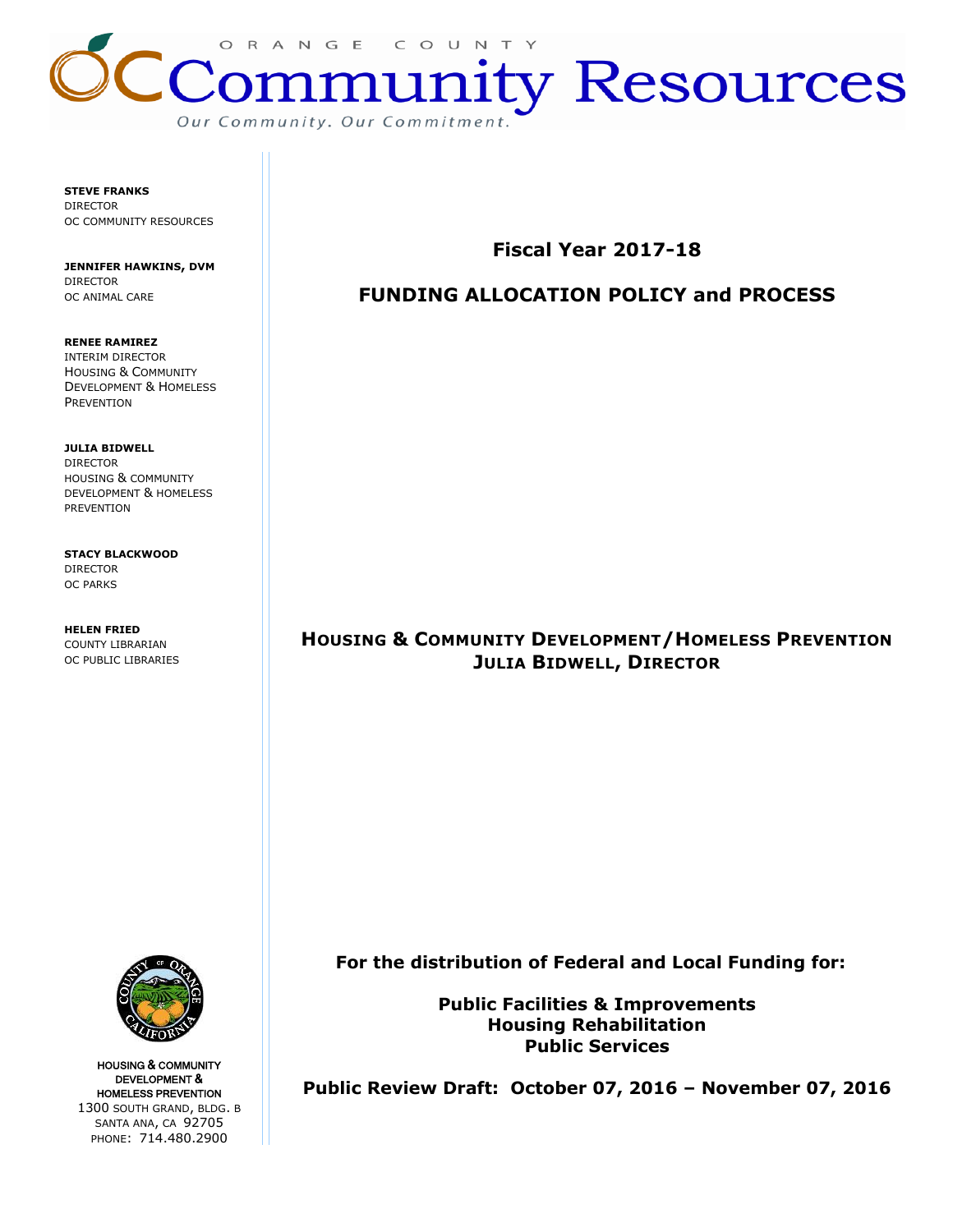

**STEVE FRANKS** DIRECTOR OC COMMUNITY RESOURCES

**JENNIFER HAWKINS, DVM** DIRECTOR OC ANIMAL CARE

**RENEE RAMIREZ** INTERIM DIRECTOR HOUSING & COMMUNITY DEVELOPMENT & HOMELESS **PREVENTION** 

**JULIA BIDWELL** DIRECTOR HOUSING & COMMUNITY DEVELOPMENT & HOMELESS PREVENTION

**STACY BLACKWOOD** DIRECTOR OC PARKS

**HELEN FRIED** COUNTY LIBRARIAN OC PUBLIC LIBRARIES



# **FUNDING ALLOCATION POLICY and PROCESS**

# **HOUSING & COMMUNITY DEVELOPMENT/HOMELESS PREVENTION JULIA BIDWELL, DIRECTOR**

 **For the distribution of Federal and Local Funding for:**

**Public Facilities & Improvements Housing Rehabilitation Public Services**

**Public Review Draft: October 07, 2016 – November 07, 2016**



HOUSING & COMMUNITY DEVELOPMENT & HOMELESS PREVENTION 1300 SOUTH GRAND, BLDG. B SANTA ANA, CA 92705 PHONE: 714.480.2900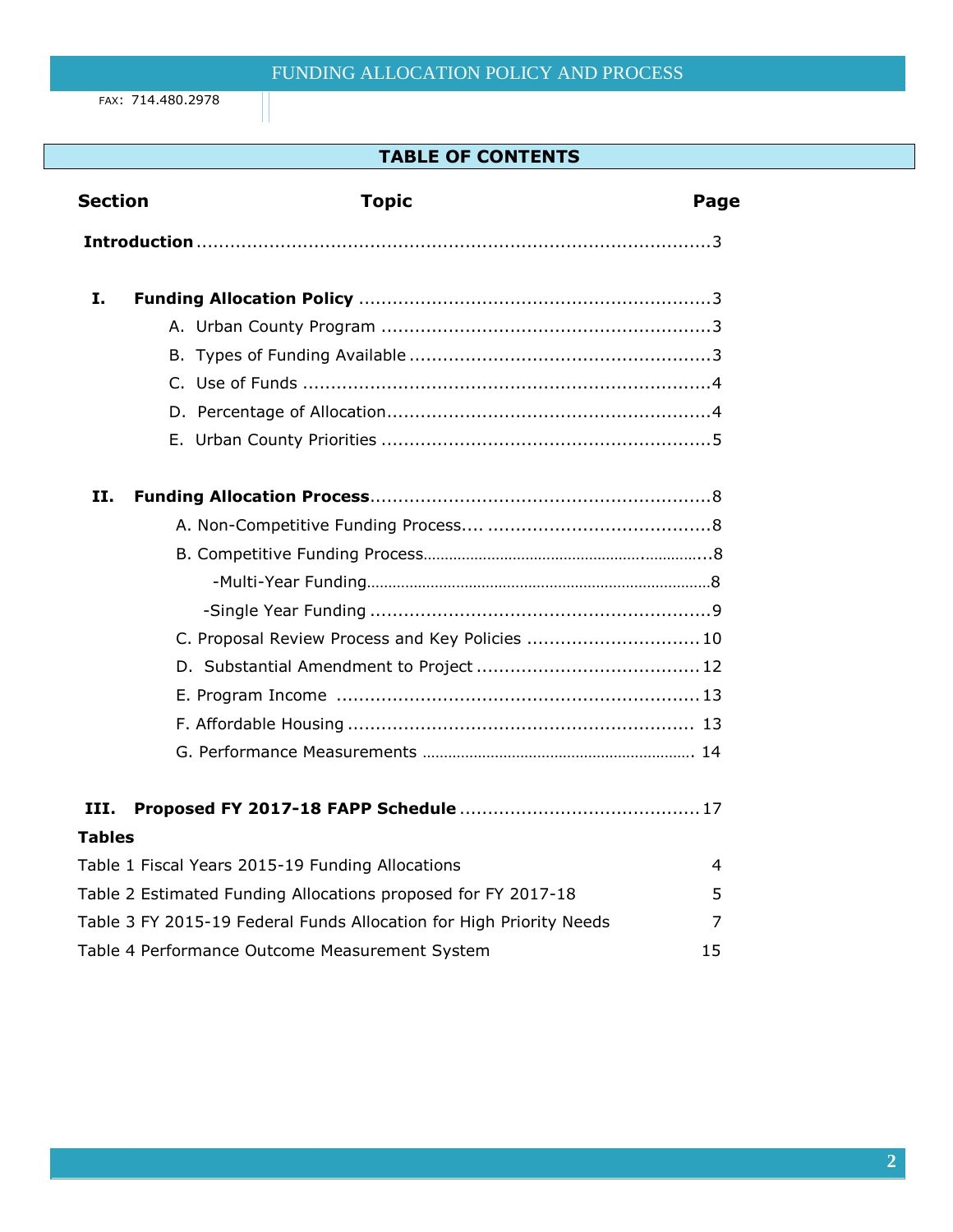FAX: 714.480.2978

# **TABLE OF CONTENTS**

| <b>Section</b> | <b>Topic</b>                                                        | Page |  |
|----------------|---------------------------------------------------------------------|------|--|
|                |                                                                     |      |  |
| I.             |                                                                     |      |  |
|                |                                                                     |      |  |
|                |                                                                     |      |  |
|                |                                                                     |      |  |
|                |                                                                     |      |  |
|                |                                                                     |      |  |
| н.             |                                                                     |      |  |
|                |                                                                     |      |  |
|                |                                                                     |      |  |
|                |                                                                     |      |  |
|                |                                                                     |      |  |
|                | C. Proposal Review Process and Key Policies  10                     |      |  |
|                |                                                                     |      |  |
|                |                                                                     |      |  |
|                |                                                                     |      |  |
|                |                                                                     |      |  |
| III.           |                                                                     |      |  |
| <b>Tables</b>  |                                                                     |      |  |
|                | Table 1 Fiscal Years 2015-19 Funding Allocations                    | 4    |  |
|                | Table 2 Estimated Funding Allocations proposed for FY 2017-18       | 5    |  |
|                | Table 3 FY 2015-19 Federal Funds Allocation for High Priority Needs | 7    |  |
|                | Table 4 Performance Outcome Measurement System                      | 15   |  |
|                |                                                                     |      |  |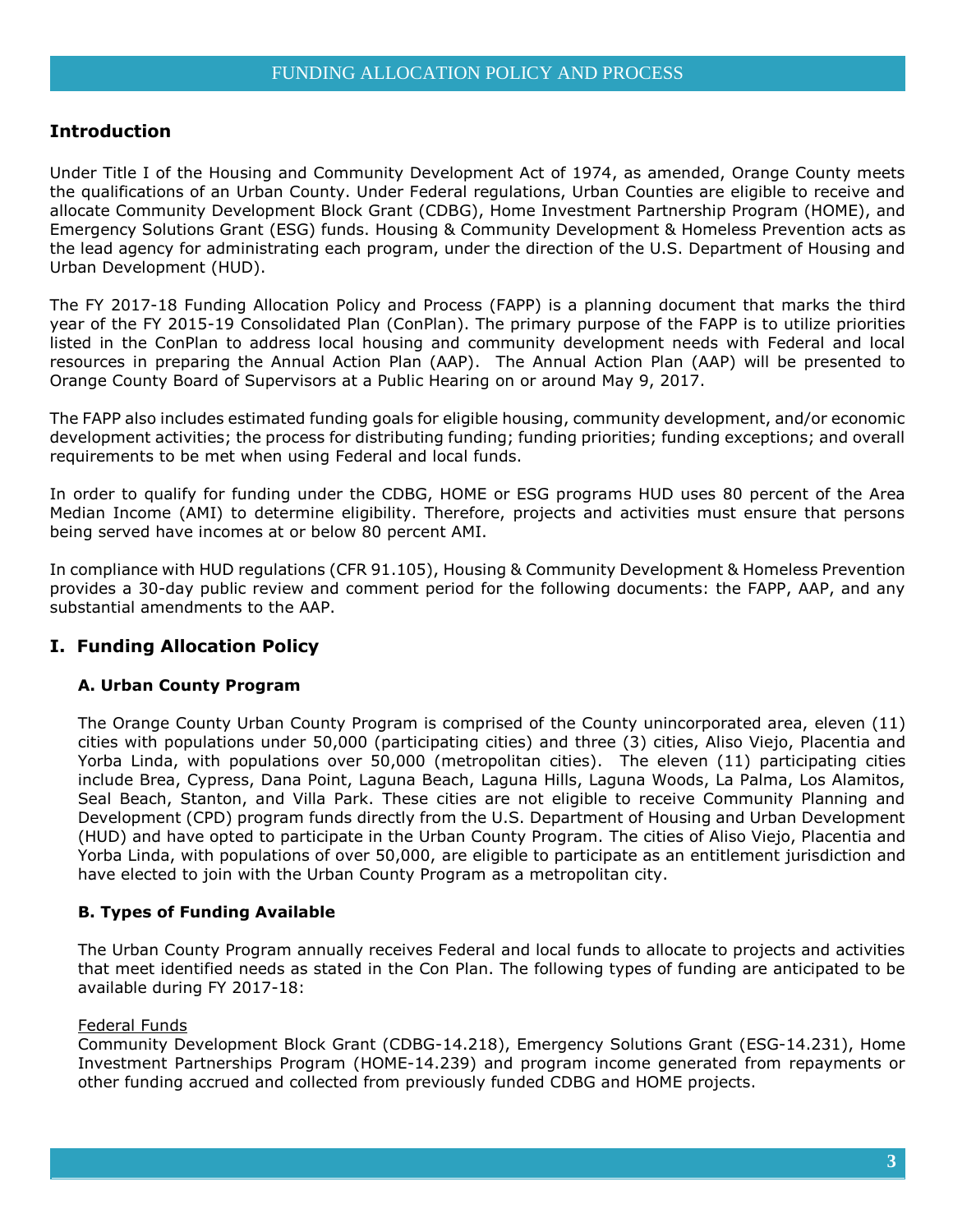## **Introduction**

Under Title I of the Housing and Community Development Act of 1974, as amended, Orange County meets the qualifications of an Urban County. Under Federal regulations, Urban Counties are eligible to receive and allocate Community Development Block Grant (CDBG), Home Investment Partnership Program (HOME), and Emergency Solutions Grant (ESG) funds. Housing & Community Development & Homeless Prevention acts as the lead agency for administrating each program, under the direction of the U.S. Department of Housing and Urban Development (HUD).

The FY 2017-18 Funding Allocation Policy and Process (FAPP) is a planning document that marks the third year of the FY 2015-19 Consolidated Plan (ConPlan). The primary purpose of the FAPP is to utilize priorities listed in the ConPlan to address local housing and community development needs with Federal and local resources in preparing the Annual Action Plan (AAP). The Annual Action Plan (AAP) will be presented to Orange County Board of Supervisors at a Public Hearing on or around May 9, 2017.

The FAPP also includes estimated funding goals for eligible housing, community development, and/or economic development activities; the process for distributing funding; funding priorities; funding exceptions; and overall requirements to be met when using Federal and local funds.

In order to qualify for funding under the CDBG, HOME or ESG programs HUD uses 80 percent of the Area Median Income (AMI) to determine eligibility. Therefore, projects and activities must ensure that persons being served have incomes at or below 80 percent AMI.

In compliance with HUD regulations (CFR 91.105), Housing & Community Development & Homeless Prevention provides a 30-day public review and comment period for the following documents: the FAPP, AAP, and any substantial amendments to the AAP.

## **I. Funding Allocation Policy**

#### **A. Urban County Program**

The Orange County Urban County Program is comprised of the County unincorporated area, eleven (11) cities with populations under 50,000 (participating cities) and three (3) cities, Aliso Viejo, Placentia and Yorba Linda, with populations over 50,000 (metropolitan cities). The eleven (11) participating cities include Brea, Cypress, Dana Point, Laguna Beach, Laguna Hills, Laguna Woods, La Palma, Los Alamitos, Seal Beach, Stanton, and Villa Park. These cities are not eligible to receive Community Planning and Development (CPD) program funds directly from the U.S. Department of Housing and Urban Development (HUD) and have opted to participate in the Urban County Program. The cities of Aliso Viejo, Placentia and Yorba Linda, with populations of over 50,000, are eligible to participate as an entitlement jurisdiction and have elected to join with the Urban County Program as a metropolitan city.

#### **B. Types of Funding Available**

The Urban County Program annually receives Federal and local funds to allocate to projects and activities that meet identified needs as stated in the Con Plan. The following types of funding are anticipated to be available during FY 2017-18:

#### Federal Funds

Community Development Block Grant (CDBG-14.218), Emergency Solutions Grant (ESG-14.231), Home Investment Partnerships Program (HOME-14.239) and program income generated from repayments or other funding accrued and collected from previously funded CDBG and HOME projects.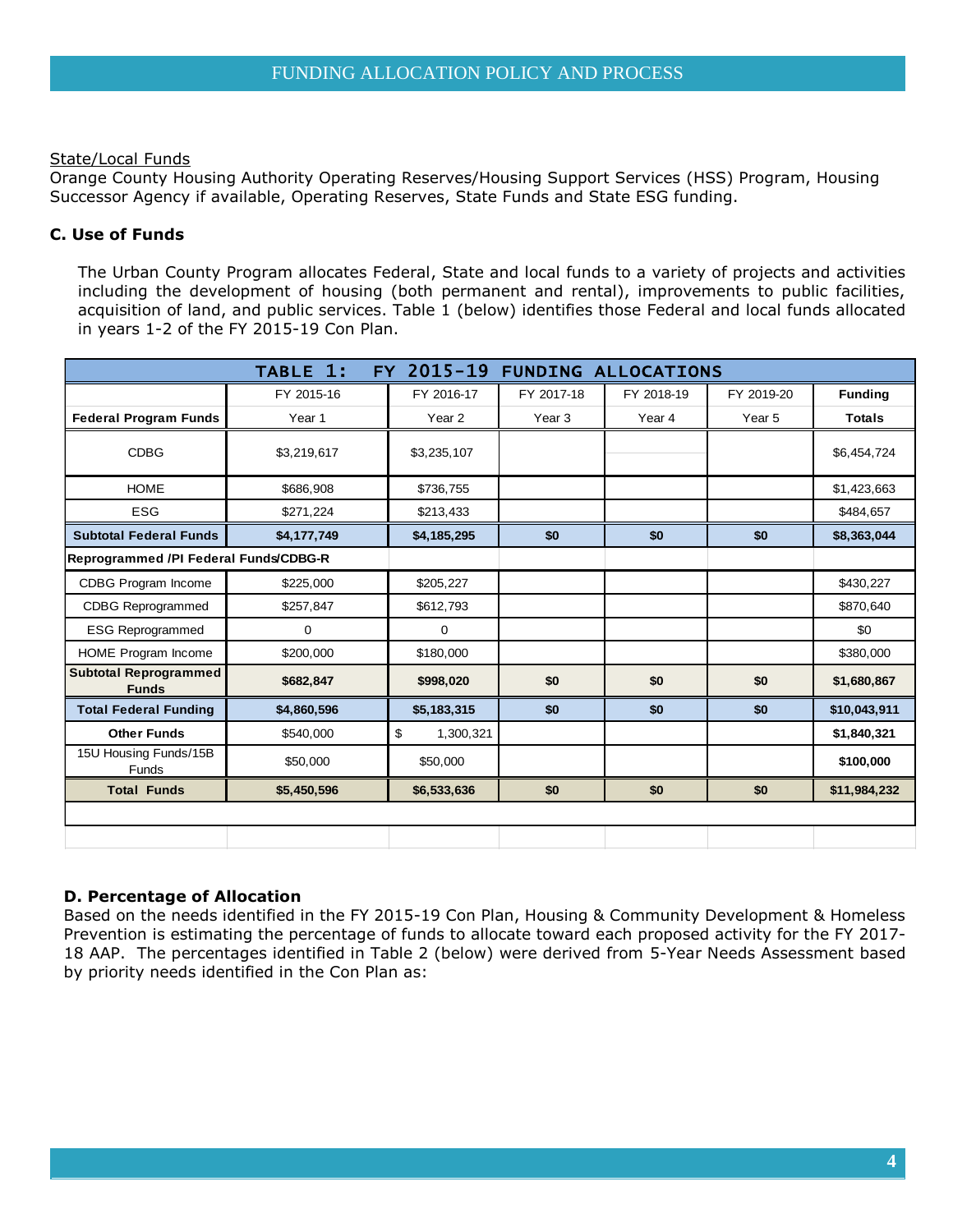## State/Local Funds

Orange County Housing Authority Operating Reserves/Housing Support Services (HSS) Program, Housing Successor Agency if available, Operating Reserves, State Funds and State ESG funding.

## **C. Use of Funds**

The Urban County Program allocates Federal, State and local funds to a variety of projects and activities including the development of housing (both permanent and rental), improvements to public facilities, acquisition of land, and public services. Table 1 (below) identifies those Federal and local funds allocated in years 1-2 of the FY 2015-19 Con Plan.

|                                              | TABLE 1:    | FY 2015-19        | <b>FUNDING ALLOCATIONS</b> |            |            |                |
|----------------------------------------------|-------------|-------------------|----------------------------|------------|------------|----------------|
|                                              | FY 2015-16  | FY 2016-17        | FY 2017-18                 | FY 2018-19 | FY 2019-20 | <b>Funding</b> |
| <b>Federal Program Funds</b>                 | Year 1      | Year <sub>2</sub> | Year 3                     | Year 4     | Year 5     | <b>Totals</b>  |
| <b>CDBG</b>                                  | \$3,219,617 | \$3,235,107       |                            |            |            | \$6,454,724    |
| <b>HOME</b>                                  | \$686,908   | \$736,755         |                            |            |            | \$1,423,663    |
| <b>ESG</b>                                   | \$271,224   | \$213,433         |                            |            |            | \$484,657      |
| <b>Subtotal Federal Funds</b>                | \$4,177,749 | \$4,185,295       | \$0                        | \$0        | \$0        | \$8,363,044    |
| Reprogrammed /PI Federal Funds/CDBG-R        |             |                   |                            |            |            |                |
| CDBG Program Income                          | \$225,000   | \$205,227         |                            |            |            | \$430,227      |
| <b>CDBG Reprogrammed</b>                     | \$257,847   | \$612,793         |                            |            |            | \$870,640      |
| <b>ESG Reprogrammed</b>                      | 0           | $\mathbf 0$       |                            |            |            | \$0            |
| HOME Program Income                          | \$200,000   | \$180,000         |                            |            |            | \$380,000      |
| <b>Subtotal Reprogrammed</b><br><b>Funds</b> | \$682,847   | \$998,020         | \$0                        | \$0        | \$0        | \$1,680,867    |
| <b>Total Federal Funding</b>                 | \$4,860,596 | \$5,183,315       | \$0                        | \$0        | \$0        | \$10,043,911   |
| <b>Other Funds</b>                           | \$540,000   | \$<br>1,300,321   |                            |            |            | \$1,840,321    |
| 15U Housing Funds/15B<br>Funds               | \$50,000    | \$50,000          |                            |            |            | \$100,000      |
| <b>Total Funds</b>                           | \$5,450,596 | \$6,533,636       | \$0                        | \$0        | \$0        | \$11,984,232   |
|                                              |             |                   |                            |            |            |                |
|                                              |             |                   |                            |            |            |                |

## **D. Percentage of Allocation**

Based on the needs identified in the FY 2015-19 Con Plan, Housing & Community Development & Homeless Prevention is estimating the percentage of funds to allocate toward each proposed activity for the FY 2017- 18 AAP. The percentages identified in Table 2 (below) were derived from 5-Year Needs Assessment based by priority needs identified in the Con Plan as: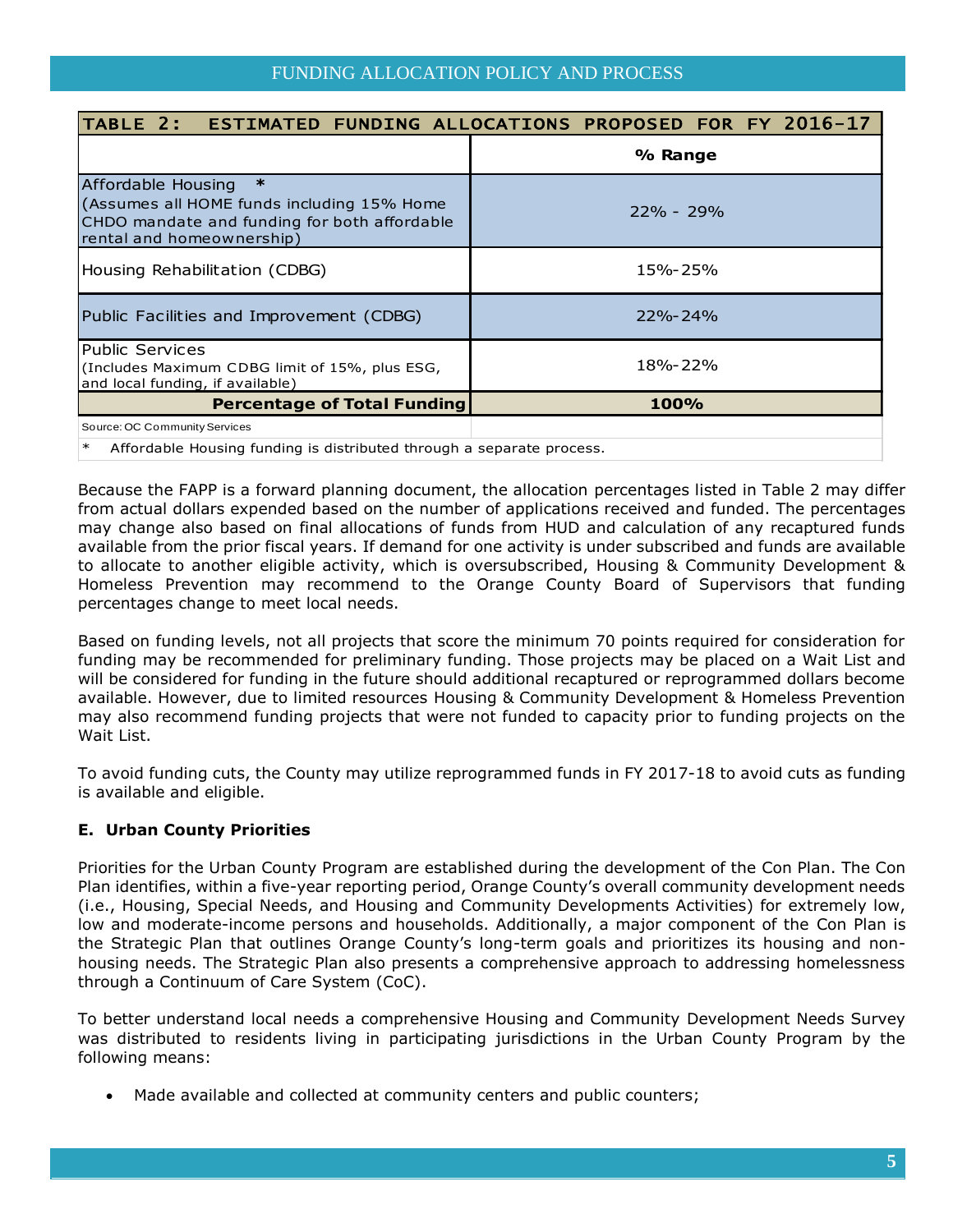|                                                                                                                                                         | TABLE 2: ESTIMATED FUNDING ALLOCATIONS PROPOSED FOR FY 2016-17 |  |  |  |
|---------------------------------------------------------------------------------------------------------------------------------------------------------|----------------------------------------------------------------|--|--|--|
|                                                                                                                                                         | % Range                                                        |  |  |  |
| $\ast$<br>Affordable Housing<br>(Assumes all HOME funds including 15% Home<br>CHDO mandate and funding for both affordable<br>rental and homeownership) | $22\% - 29\%$                                                  |  |  |  |
| Housing Rehabilitation (CDBG)                                                                                                                           | 15%-25%                                                        |  |  |  |
| Public Facilities and Improvement (CDBG)                                                                                                                | $22\% - 24\%$                                                  |  |  |  |
| <b>Public Services</b><br>(Includes Maximum CDBG limit of 15%, plus ESG,<br>and local funding, if available)                                            | 18%-22%                                                        |  |  |  |
| <b>Percentage of Total Funding</b>                                                                                                                      | <b>100%</b>                                                    |  |  |  |
| Source: OC Community Services                                                                                                                           |                                                                |  |  |  |
| * Affected the United States in distributed these the aggregate process                                                                                 |                                                                |  |  |  |

Affordable Housing funding is distributed through a separate process.

Because the FAPP is a forward planning document, the allocation percentages listed in Table 2 may differ from actual dollars expended based on the number of applications received and funded. The percentages may change also based on final allocations of funds from HUD and calculation of any recaptured funds available from the prior fiscal years. If demand for one activity is under subscribed and funds are available to allocate to another eligible activity, which is oversubscribed, Housing & Community Development & Homeless Prevention may recommend to the Orange County Board of Supervisors that funding percentages change to meet local needs.

Based on funding levels, not all projects that score the minimum 70 points required for consideration for funding may be recommended for preliminary funding. Those projects may be placed on a Wait List and will be considered for funding in the future should additional recaptured or reprogrammed dollars become available. However, due to limited resources Housing & Community Development & Homeless Prevention may also recommend funding projects that were not funded to capacity prior to funding projects on the Wait List.

To avoid funding cuts, the County may utilize reprogrammed funds in FY 2017-18 to avoid cuts as funding is available and eligible.

## **E. Urban County Priorities**

Priorities for the Urban County Program are established during the development of the Con Plan. The Con Plan identifies, within a five-year reporting period, Orange County's overall community development needs (i.e., Housing, Special Needs, and Housing and Community Developments Activities) for extremely low, low and moderate-income persons and households. Additionally, a major component of the Con Plan is the Strategic Plan that outlines Orange County's long-term goals and prioritizes its housing and nonhousing needs. The Strategic Plan also presents a comprehensive approach to addressing homelessness through a Continuum of Care System (CoC).

To better understand local needs a comprehensive Housing and Community Development Needs Survey was distributed to residents living in participating jurisdictions in the Urban County Program by the following means:

Made available and collected at community centers and public counters;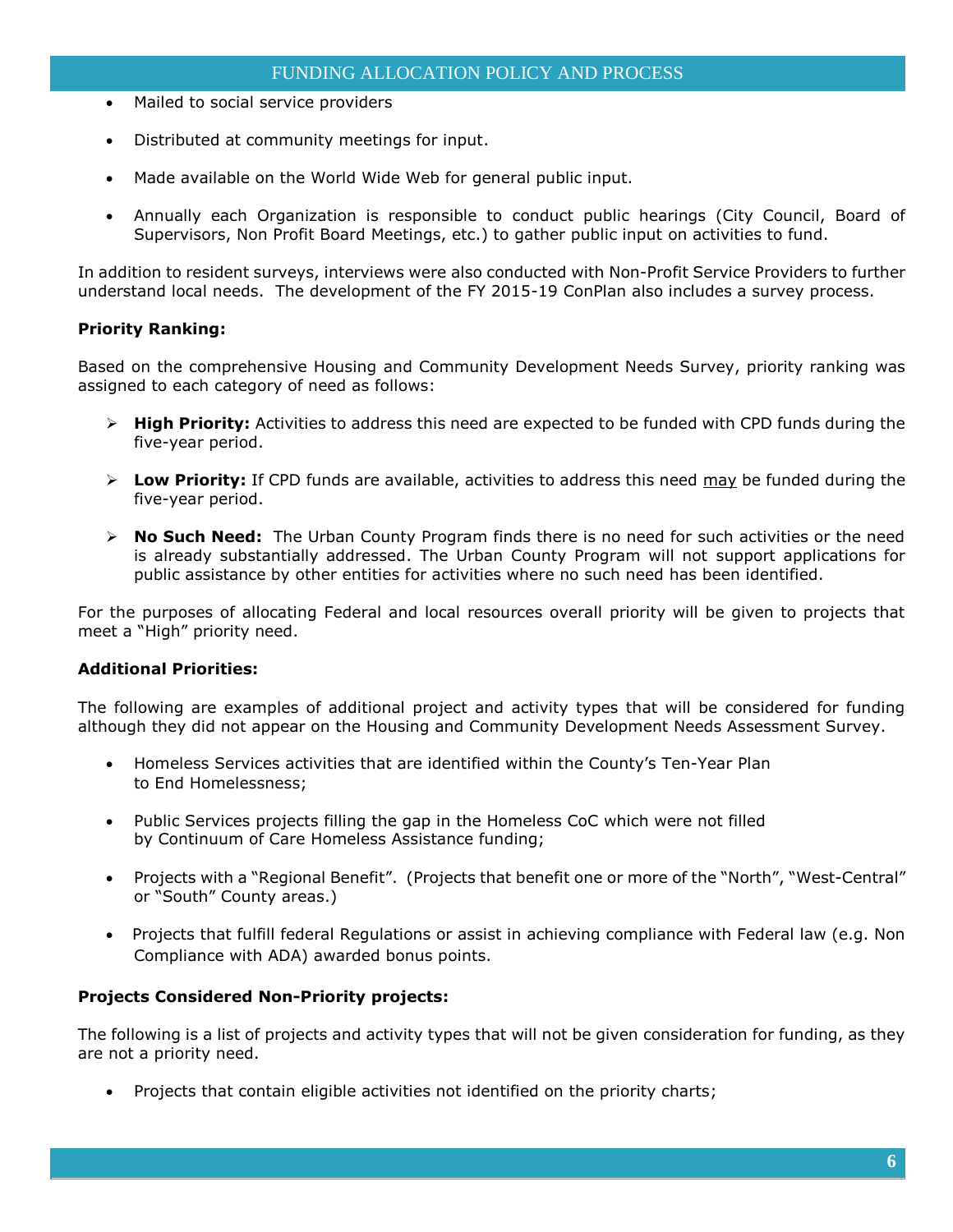- Mailed to social service providers
- Distributed at community meetings for input.
- Made available on the World Wide Web for general public input.
- Annually each Organization is responsible to conduct public hearings (City Council, Board of Supervisors, Non Profit Board Meetings, etc.) to gather public input on activities to fund.

In addition to resident surveys, interviews were also conducted with Non-Profit Service Providers to further understand local needs. The development of the FY 2015-19 ConPlan also includes a survey process.

#### **Priority Ranking:**

Based on the comprehensive Housing and Community Development Needs Survey, priority ranking was assigned to each category of need as follows:

- **High Priority:** Activities to address this need are expected to be funded with CPD funds during the five-year period.
- **Low Priority:** If CPD funds are available, activities to address this need may be funded during the five-year period.
- **No Such Need:** The Urban County Program finds there is no need for such activities or the need is already substantially addressed. The Urban County Program will not support applications for public assistance by other entities for activities where no such need has been identified.

For the purposes of allocating Federal and local resources overall priority will be given to projects that meet a "High" priority need.

#### **Additional Priorities:**

The following are examples of additional project and activity types that will be considered for funding although they did not appear on the Housing and Community Development Needs Assessment Survey.

- Homeless Services activities that are identified within the County's Ten-Year Plan to End Homelessness;
- Public Services projects filling the gap in the Homeless CoC which were not filled by Continuum of Care Homeless Assistance funding;
- Projects with a "Regional Benefit". (Projects that benefit one or more of the "North", "West-Central" or "South" County areas.)
- Projects that fulfill federal Regulations or assist in achieving compliance with Federal law (e.g. Non Compliance with ADA) awarded bonus points.

## **Projects Considered Non-Priority projects:**

The following is a list of projects and activity types that will not be given consideration for funding, as they are not a priority need.

Projects that contain eligible activities not identified on the priority charts;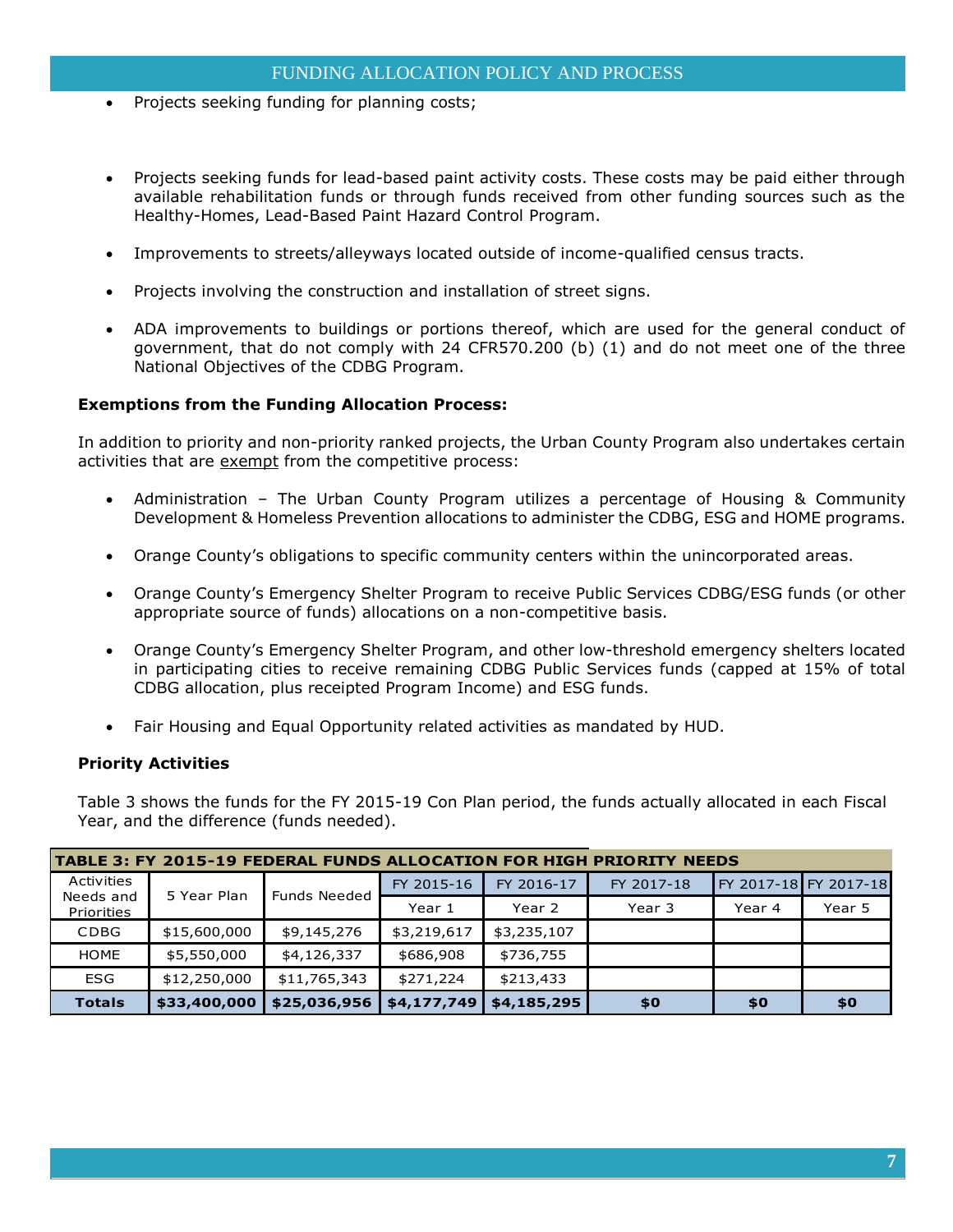- Projects seeking funding for planning costs;
- Projects seeking funds for lead-based paint activity costs. These costs may be paid either through available rehabilitation funds or through funds received from other funding sources such as the Healthy-Homes, Lead-Based Paint Hazard Control Program.
- Improvements to streets/alleyways located outside of income-qualified census tracts.
- Projects involving the construction and installation of street signs.
- ADA improvements to buildings or portions thereof, which are used for the general conduct of government, that do not comply with 24 CFR570.200 (b) (1) and do not meet one of the three National Objectives of the CDBG Program.

#### **Exemptions from the Funding Allocation Process:**

In addition to priority and non-priority ranked projects, the Urban County Program also undertakes certain activities that are exempt from the competitive process:

- Administration The Urban County Program utilizes a percentage of Housing & Community Development & Homeless Prevention allocations to administer the CDBG, ESG and HOME programs.
- Orange County's obligations to specific community centers within the unincorporated areas.
- Orange County's Emergency Shelter Program to receive Public Services CDBG/ESG funds (or other appropriate source of funds) allocations on a non-competitive basis.
- Orange County's Emergency Shelter Program, and other low-threshold emergency shelters located in participating cities to receive remaining CDBG Public Services funds (capped at 15% of total CDBG allocation, plus receipted Program Income) and ESG funds.
- Fair Housing and Equal Opportunity related activities as mandated by HUD.

#### **Priority Activities**

Table 3 shows the funds for the FY 2015-19 Con Plan period, the funds actually allocated in each Fiscal Year, and the difference (funds needed). Table 3 shows the funds for the FY 2015-19 Con Plan period, the funds actually alloc<br>Year, and the difference (funds needed).<br>**TABLE 3: FY 2015-19 FEDERAL FUNDS ALLOCATION FOR HIGH PRIORITY NEEDS** 

| TABLE 3: FY 2015-19 FEDERAL FUNDS ALLOCATION FOR HIGH PRIORITY NEEDS |              |                     |             |             |            |        |                       |
|----------------------------------------------------------------------|--------------|---------------------|-------------|-------------|------------|--------|-----------------------|
| Activities                                                           | 5 Year Plan  | <b>Funds Needed</b> | FY 2015-16  | FY 2016-17  | FY 2017-18 |        | FY 2017-18 FY 2017-18 |
| Needs and<br>Priorities                                              |              |                     | Year 1      | Year 2      | Year 3     | Year 4 | Year 5                |
| <b>CDBG</b>                                                          | \$15,600,000 | \$9,145,276         | \$3,219,617 | \$3,235,107 |            |        |                       |
| <b>HOME</b>                                                          | \$5,550,000  | \$4,126,337         | \$686,908   | \$736,755   |            |        |                       |
| <b>ESG</b>                                                           | \$12,250,000 | \$11,765,343        | \$271,224   | \$213,433   |            |        |                       |
| <b>Totals</b>                                                        | \$33,400,000 | \$25,036,956        | \$4,177,749 | \$4,185,295 | \$0        | \$0    | \$0                   |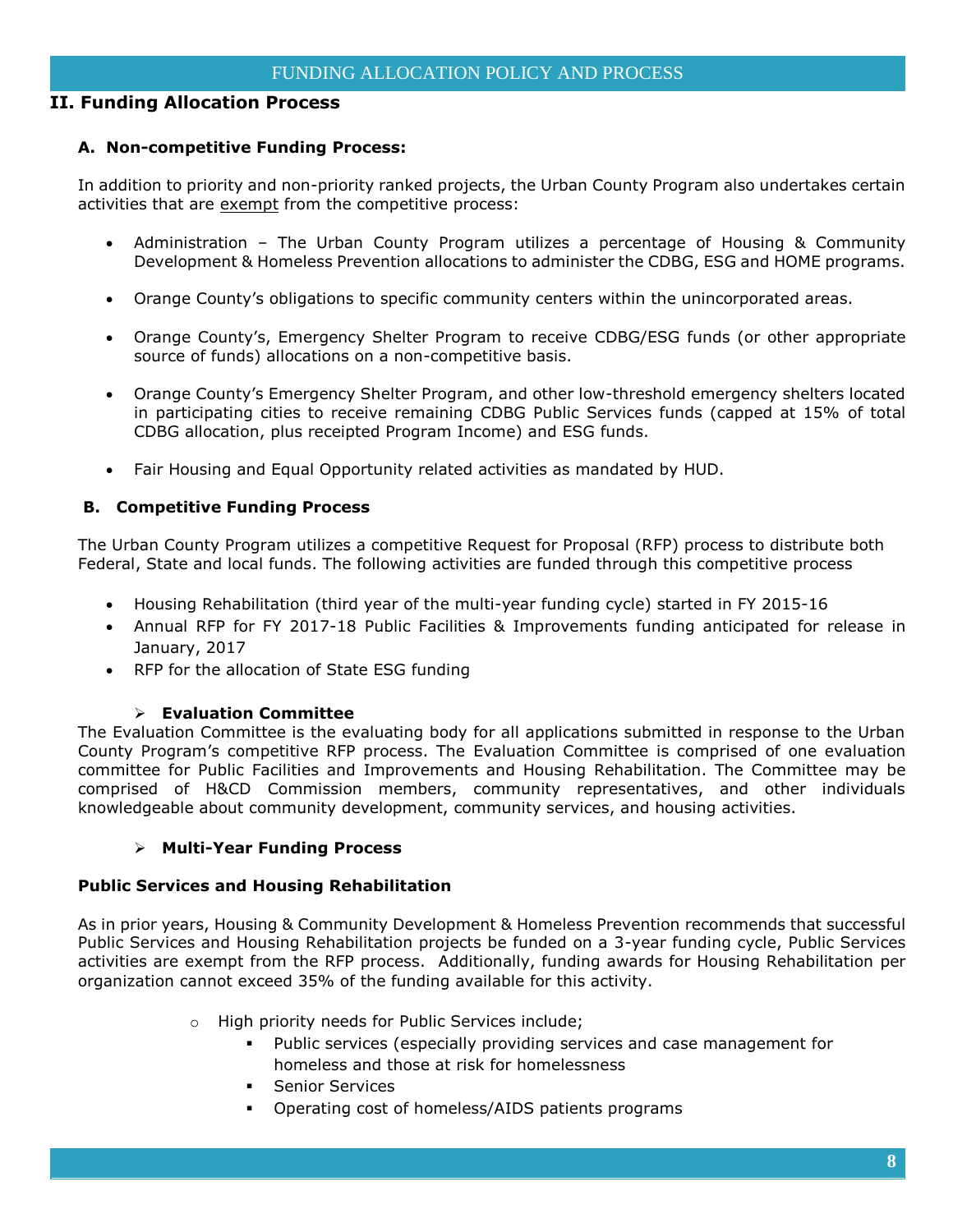## **II. Funding Allocation Process**

## **A. Non-competitive Funding Process:**

In addition to priority and non-priority ranked projects, the Urban County Program also undertakes certain activities that are exempt from the competitive process:

- Administration The Urban County Program utilizes a percentage of Housing & Community Development & Homeless Prevention allocations to administer the CDBG, ESG and HOME programs.
- Orange County's obligations to specific community centers within the unincorporated areas.
- Orange County's, Emergency Shelter Program to receive CDBG/ESG funds (or other appropriate source of funds) allocations on a non-competitive basis.
- Orange County's Emergency Shelter Program, and other low-threshold emergency shelters located in participating cities to receive remaining CDBG Public Services funds (capped at 15% of total CDBG allocation, plus receipted Program Income) and ESG funds.
- Fair Housing and Equal Opportunity related activities as mandated by HUD.

## **B. Competitive Funding Process**

The Urban County Program utilizes a competitive Request for Proposal (RFP) process to distribute both Federal, State and local funds. The following activities are funded through this competitive process

- Housing Rehabilitation (third year of the multi-year funding cycle) started in FY 2015-16
- Annual RFP for FY 2017-18 Public Facilities & Improvements funding anticipated for release in January, 2017
- RFP for the allocation of State ESG funding

#### **Evaluation Committee**

The Evaluation Committee is the evaluating body for all applications submitted in response to the Urban County Program's competitive RFP process. The Evaluation Committee is comprised of one evaluation committee for Public Facilities and Improvements and Housing Rehabilitation. The Committee may be comprised of H&CD Commission members, community representatives, and other individuals knowledgeable about community development, community services, and housing activities.

## **Multi-Year Funding Process**

#### **Public Services and Housing Rehabilitation**

As in prior years, Housing & Community Development & Homeless Prevention recommends that successful Public Services and Housing Rehabilitation projects be funded on a 3-year funding cycle, Public Services activities are exempt from the RFP process. Additionally, funding awards for Housing Rehabilitation per organization cannot exceed 35% of the funding available for this activity.

- o High priority needs for Public Services include;
	- Public services (especially providing services and case management for homeless and those at risk for homelessness
	- **Senior Services**
	- Operating cost of homeless/AIDS patients programs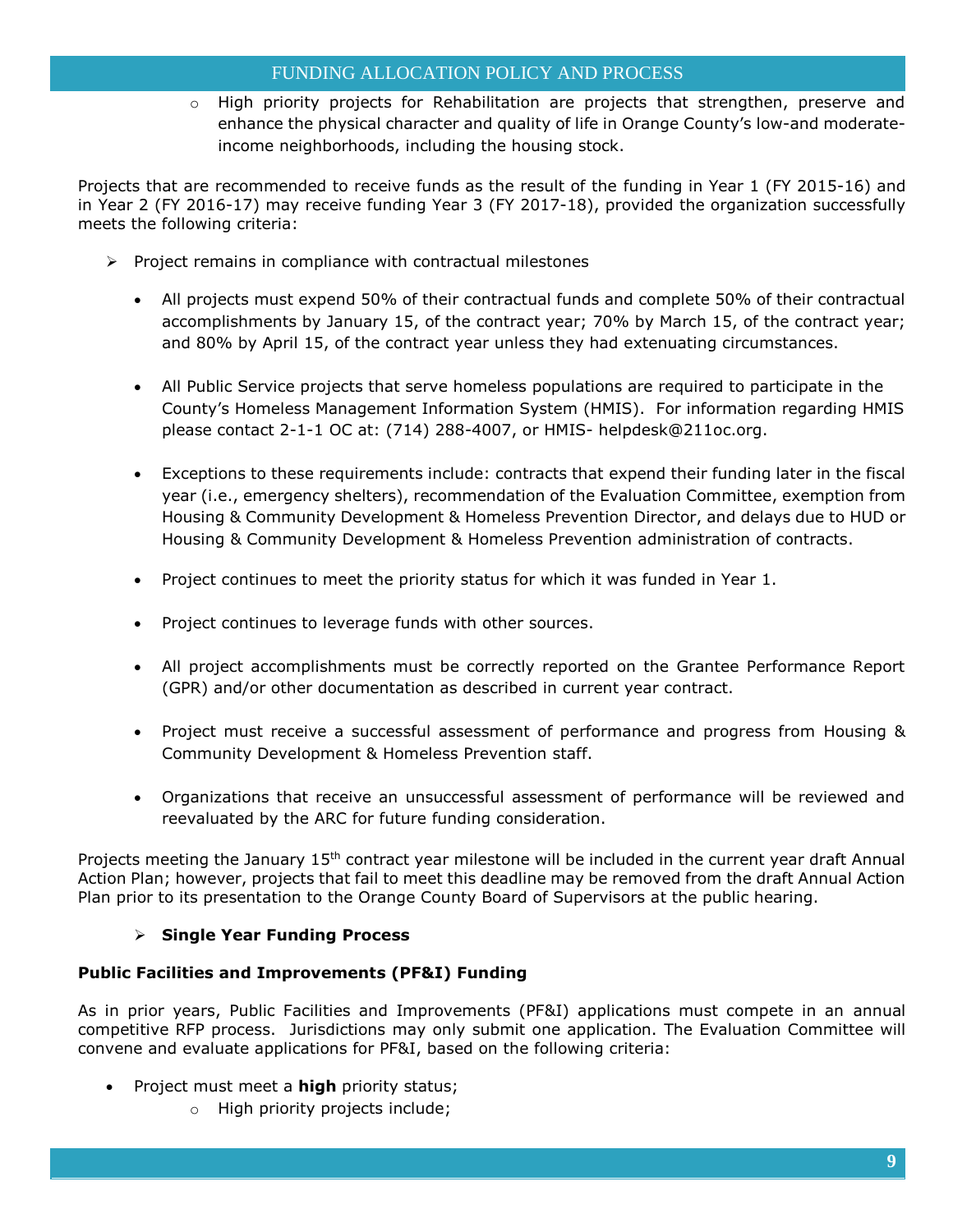## FUNDING ALLOCATION POLICY AND PROCESS

o High priority projects for Rehabilitation are projects that strengthen, preserve and enhance the physical character and quality of life in Orange County's low-and moderateincome neighborhoods, including the housing stock.

Projects that are recommended to receive funds as the result of the funding in Year 1 (FY 2015-16) and in Year 2 (FY 2016-17) may receive funding Year 3 (FY 2017-18), provided the organization successfully meets the following criteria:

- $\triangleright$  Project remains in compliance with contractual milestones
	- All projects must expend 50% of their contractual funds and complete 50% of their contractual accomplishments by January 15, of the contract year; 70% by March 15, of the contract year; and 80% by April 15, of the contract year unless they had extenuating circumstances.
	- All Public Service projects that serve homeless populations are required to participate in the County's Homeless Management Information System (HMIS). For information regarding HMIS please contact 2-1-1 OC at: (714) 288-4007, or HMIS- helpdesk@211oc.org.
	- Exceptions to these requirements include: contracts that expend their funding later in the fiscal year (i.e., emergency shelters), recommendation of the Evaluation Committee, exemption from Housing & Community Development & Homeless Prevention Director, and delays due to HUD or Housing & Community Development & Homeless Prevention administration of contracts.
	- Project continues to meet the priority status for which it was funded in Year 1.
	- Project continues to leverage funds with other sources.
	- All project accomplishments must be correctly reported on the Grantee Performance Report (GPR) and/or other documentation as described in current year contract.
	- Project must receive a successful assessment of performance and progress from Housing & Community Development & Homeless Prevention staff.
	- Organizations that receive an unsuccessful assessment of performance will be reviewed and reevaluated by the ARC for future funding consideration.

Projects meeting the January 15<sup>th</sup> contract year milestone will be included in the current year draft Annual Action Plan; however, projects that fail to meet this deadline may be removed from the draft Annual Action Plan prior to its presentation to the Orange County Board of Supervisors at the public hearing.

## **Single Year Funding Process**

## **Public Facilities and Improvements (PF&I) Funding**

As in prior years, Public Facilities and Improvements (PF&I) applications must compete in an annual competitive RFP process. Jurisdictions may only submit one application. The Evaluation Committee will convene and evaluate applications for PF&I, based on the following criteria:

- Project must meet a **high** priority status;
	- o High priority projects include;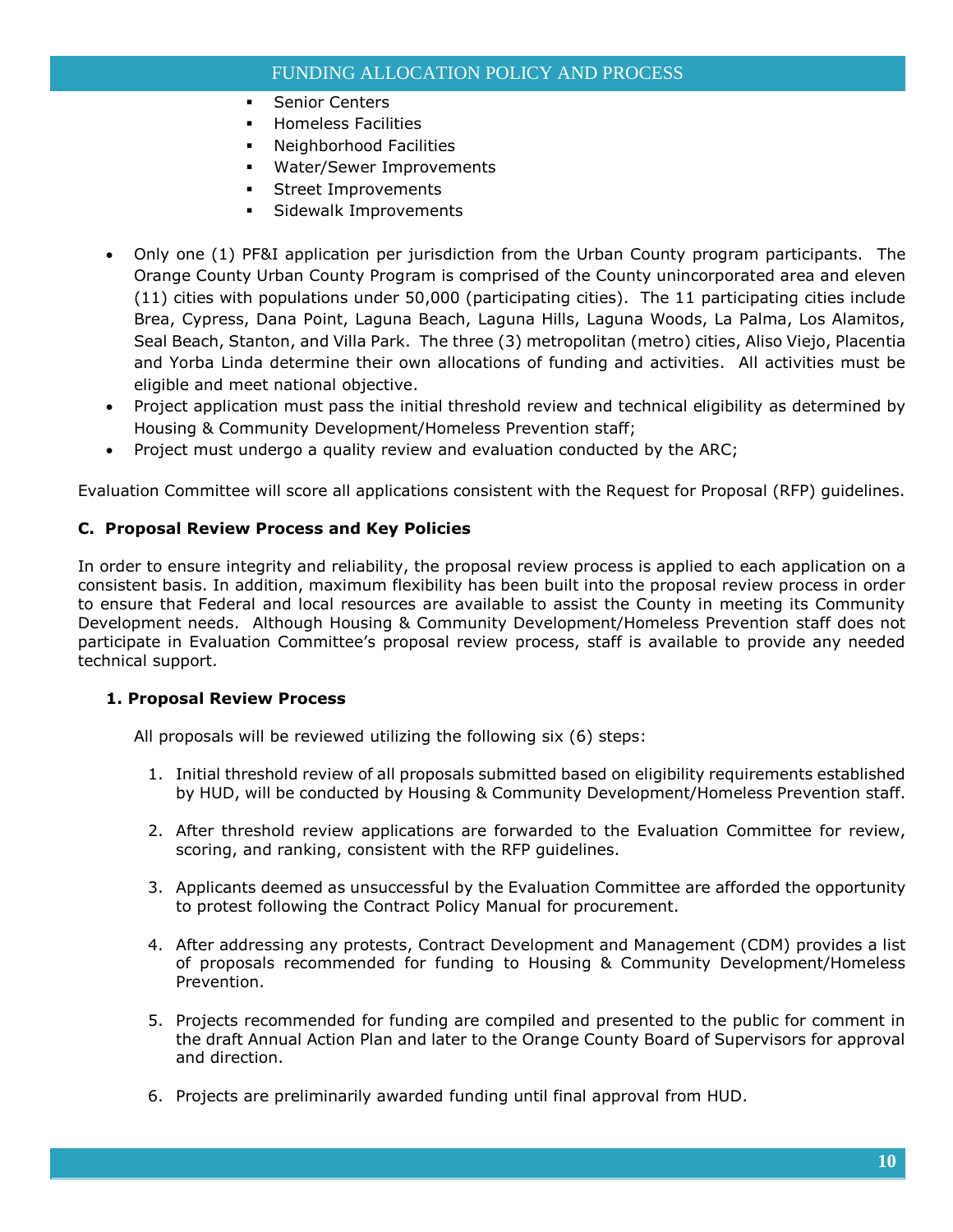## FUNDING ALLOCATION POLICY AND PROCESS

- **Senior Centers**
- **Homeless Facilities**
- Neighborhood Facilities
- Water/Sewer Improvements
- **Street Improvements**
- **Sidewalk Improvements**
- Only one (1) PF&I application per jurisdiction from the Urban County program participants. The Orange County Urban County Program is comprised of the County unincorporated area and eleven (11) cities with populations under 50,000 (participating cities). The 11 participating cities include Brea, Cypress, Dana Point, Laguna Beach, Laguna Hills, Laguna Woods, La Palma, Los Alamitos, Seal Beach, Stanton, and Villa Park. The three (3) metropolitan (metro) cities, Aliso Viejo, Placentia and Yorba Linda determine their own allocations of funding and activities. All activities must be eligible and meet national objective.
- Project application must pass the initial threshold review and technical eligibility as determined by Housing & Community Development/Homeless Prevention staff;
- Project must undergo a quality review and evaluation conducted by the ARC;

Evaluation Committee will score all applications consistent with the Request for Proposal (RFP) guidelines.

## **C. Proposal Review Process and Key Policies**

In order to ensure integrity and reliability, the proposal review process is applied to each application on a consistent basis. In addition, maximum flexibility has been built into the proposal review process in order to ensure that Federal and local resources are available to assist the County in meeting its Community Development needs. Although Housing & Community Development/Homeless Prevention staff does not participate in Evaluation Committee's proposal review process, staff is available to provide any needed technical support.

#### **1. Proposal Review Process**

All proposals will be reviewed utilizing the following six (6) steps:

- 1. Initial threshold review of all proposals submitted based on eligibility requirements established by HUD, will be conducted by Housing & Community Development/Homeless Prevention staff.
- 2. After threshold review applications are forwarded to the Evaluation Committee for review, scoring, and ranking, consistent with the RFP guidelines.
- 3. Applicants deemed as unsuccessful by the Evaluation Committee are afforded the opportunity to protest following the Contract Policy Manual for procurement.
- 4. After addressing any protests, Contract Development and Management (CDM) provides a list of proposals recommended for funding to Housing & Community Development/Homeless Prevention.
- 5. Projects recommended for funding are compiled and presented to the public for comment in the draft Annual Action Plan and later to the Orange County Board of Supervisors for approval and direction.
- 6. Projects are preliminarily awarded funding until final approval from HUD.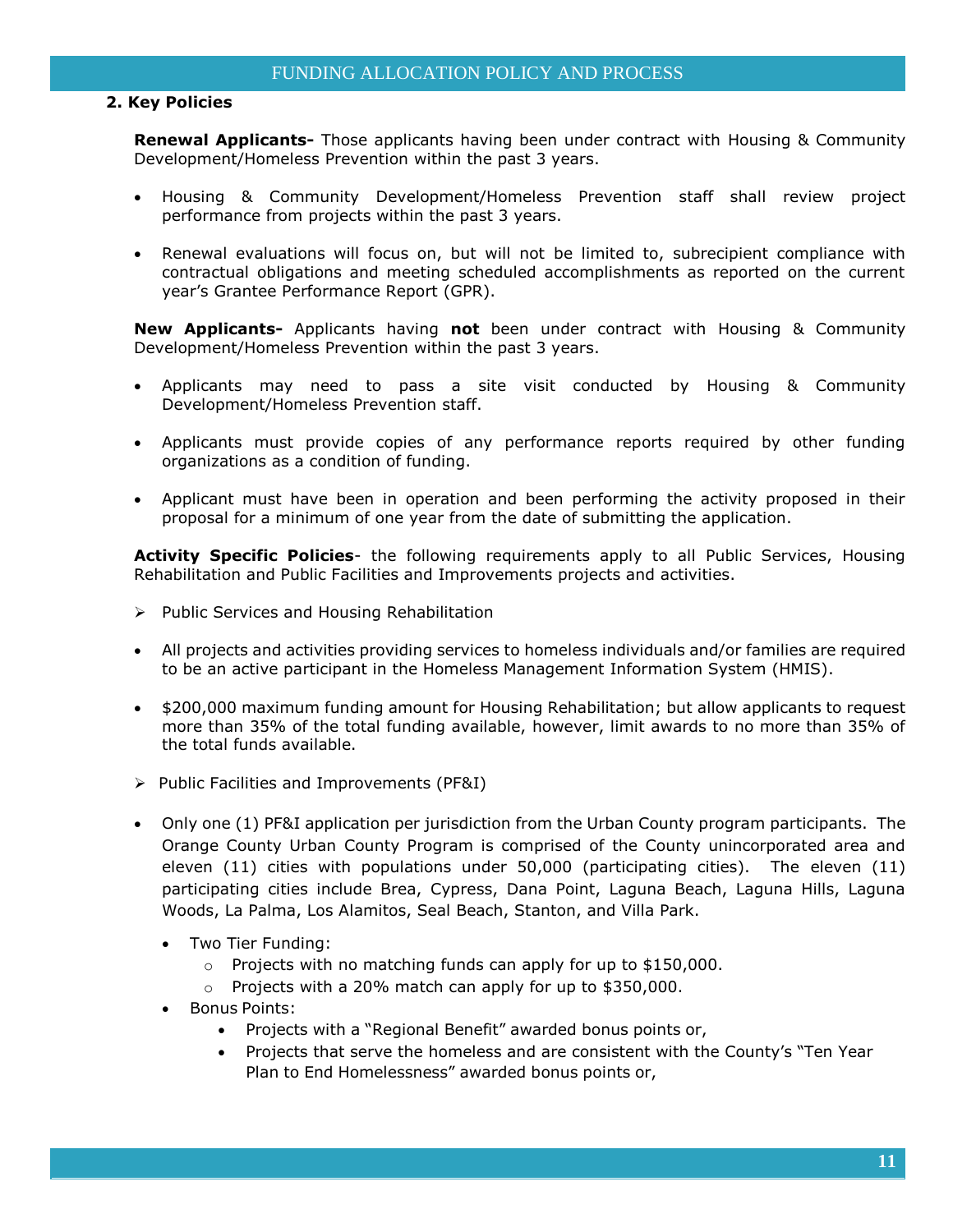## **2. Key Policies**

**Renewal Applicants-** Those applicants having been under contract with Housing & Community Development/Homeless Prevention within the past 3 years.

- Housing & Community Development/Homeless Prevention staff shall review project performance from projects within the past 3 years.
- Renewal evaluations will focus on, but will not be limited to, subrecipient compliance with contractual obligations and meeting scheduled accomplishments as reported on the current year's Grantee Performance Report (GPR).

**New Applicants-** Applicants having **not** been under contract with Housing & Community Development/Homeless Prevention within the past 3 years.

- Applicants may need to pass a site visit conducted by Housing & Community Development/Homeless Prevention staff.
- Applicants must provide copies of any performance reports required by other funding organizations as a condition of funding.
- Applicant must have been in operation and been performing the activity proposed in their proposal for a minimum of one year from the date of submitting the application.

**Activity Specific Policies**- the following requirements apply to all Public Services, Housing Rehabilitation and Public Facilities and Improvements projects and activities.

- $\triangleright$  Public Services and Housing Rehabilitation
- All projects and activities providing services to homeless individuals and/or families are required to be an active participant in the Homeless Management Information System (HMIS).
- \$200,000 maximum funding amount for Housing Rehabilitation; but allow applicants to request more than 35% of the total funding available, however, limit awards to no more than 35% of the total funds available.
- $\triangleright$  Public Facilities and Improvements (PF&I)
- Only one (1) PF&I application per jurisdiction from the Urban County program participants. The Orange County Urban County Program is comprised of the County unincorporated area and eleven (11) cities with populations under 50,000 (participating cities). The eleven (11) participating cities include Brea, Cypress, Dana Point, Laguna Beach, Laguna Hills, Laguna Woods, La Palma, Los Alamitos, Seal Beach, Stanton, and Villa Park.
	- Two Tier Funding:
		- o Projects with no matching funds can apply for up to \$150,000.
		- o Projects with a 20% match can apply for up to \$350,000.
	- Bonus Points:
		- Projects with a "Regional Benefit" awarded bonus points or,
		- Projects that serve the homeless and are consistent with the County's "Ten Year Plan to End Homelessness" awarded bonus points or,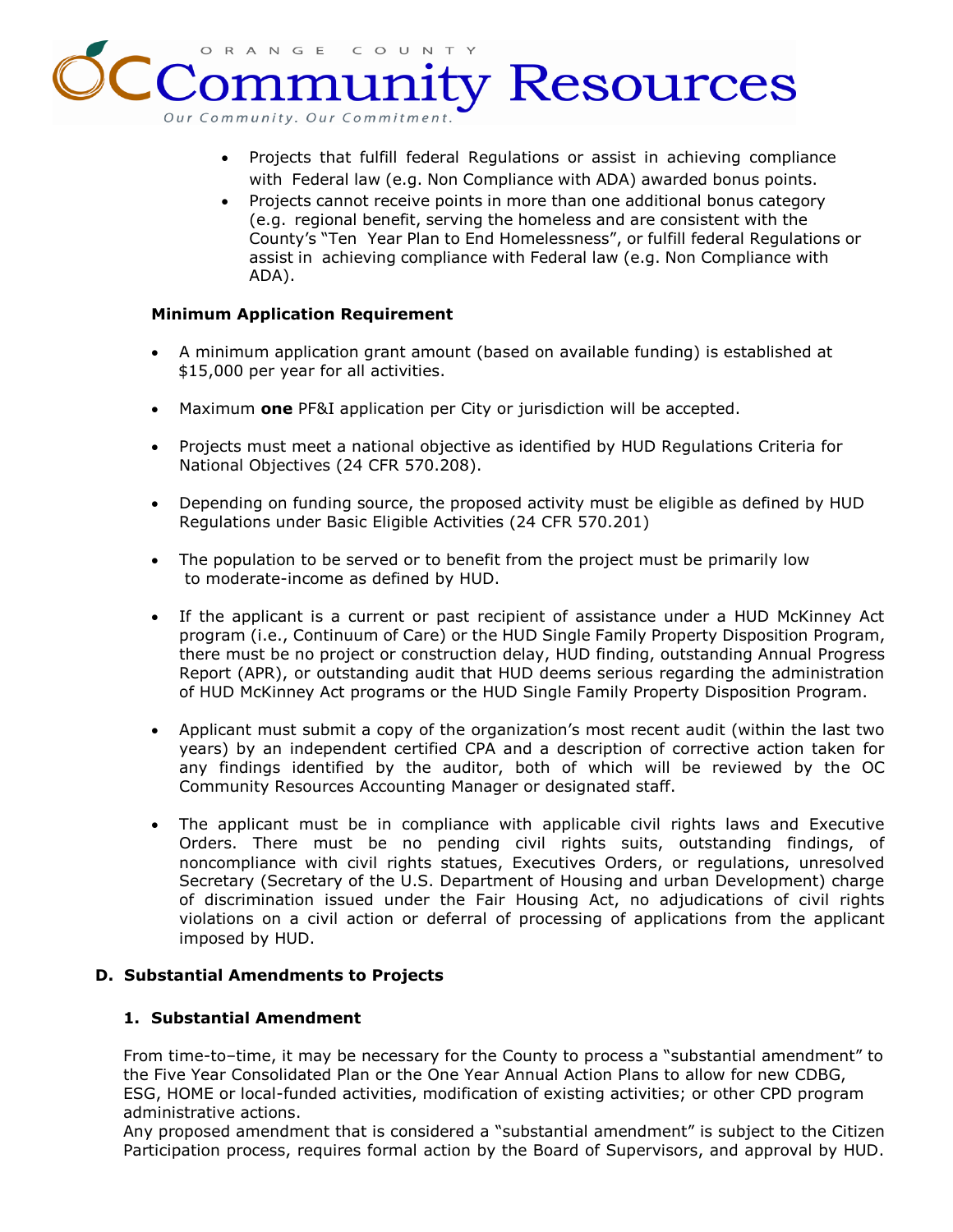ORANGE  $\subset$  $\circ$ y Resources Our Community. Our Commitm

- Projects that fulfill federal Regulations or assist in achieving compliance with Federal law (e.g. Non Compliance with ADA) awarded bonus points.
- Projects cannot receive points in more than one additional bonus category (e.g. regional benefit, serving the homeless and are consistent with the County's "Ten Year Plan to End Homelessness", or fulfill federal Regulations or assist in achieving compliance with Federal law (e.g. Non Compliance with ADA).

## **Minimum Application Requirement**

- A minimum application grant amount (based on available funding) is established at \$15,000 per year for all activities.
- Maximum **one** PF&I application per City or jurisdiction will be accepted.
- Projects must meet a national objective as identified by HUD Regulations Criteria for National Objectives (24 CFR 570.208).
- Depending on funding source, the proposed activity must be eligible as defined by HUD Regulations under Basic Eligible Activities (24 CFR 570.201)
- The population to be served or to benefit from the project must be primarily low to moderate-income as defined by HUD.
- If the applicant is a current or past recipient of assistance under a HUD McKinney Act program (i.e., Continuum of Care) or the HUD Single Family Property Disposition Program, there must be no project or construction delay, HUD finding, outstanding Annual Progress Report (APR), or outstanding audit that HUD deems serious regarding the administration of HUD McKinney Act programs or the HUD Single Family Property Disposition Program.
- Applicant must submit a copy of the organization's most recent audit (within the last two years) by an independent certified CPA and a description of corrective action taken for any findings identified by the auditor, both of which will be reviewed by the OC Community Resources Accounting Manager or designated staff.
- The applicant must be in compliance with applicable civil rights laws and Executive Orders. There must be no pending civil rights suits, outstanding findings, of noncompliance with civil rights statues, Executives Orders, or regulations, unresolved Secretary (Secretary of the U.S. Department of Housing and urban Development) charge of discrimination issued under the Fair Housing Act, no adjudications of civil rights violations on a civil action or deferral of processing of applications from the applicant imposed by HUD.

## **D. Substantial Amendments to Projects**

## **1. Substantial Amendment**

From time-to–time, it may be necessary for the County to process a "substantial amendment" to the Five Year Consolidated Plan or the One Year Annual Action Plans to allow for new CDBG, ESG, HOME or local-funded activities, modification of existing activities; or other CPD program administrative actions.

Any proposed amendment that is considered a "substantial amendment" is subject to the Citizen Participation process, requires formal action by the Board of Supervisors, and approval by HUD.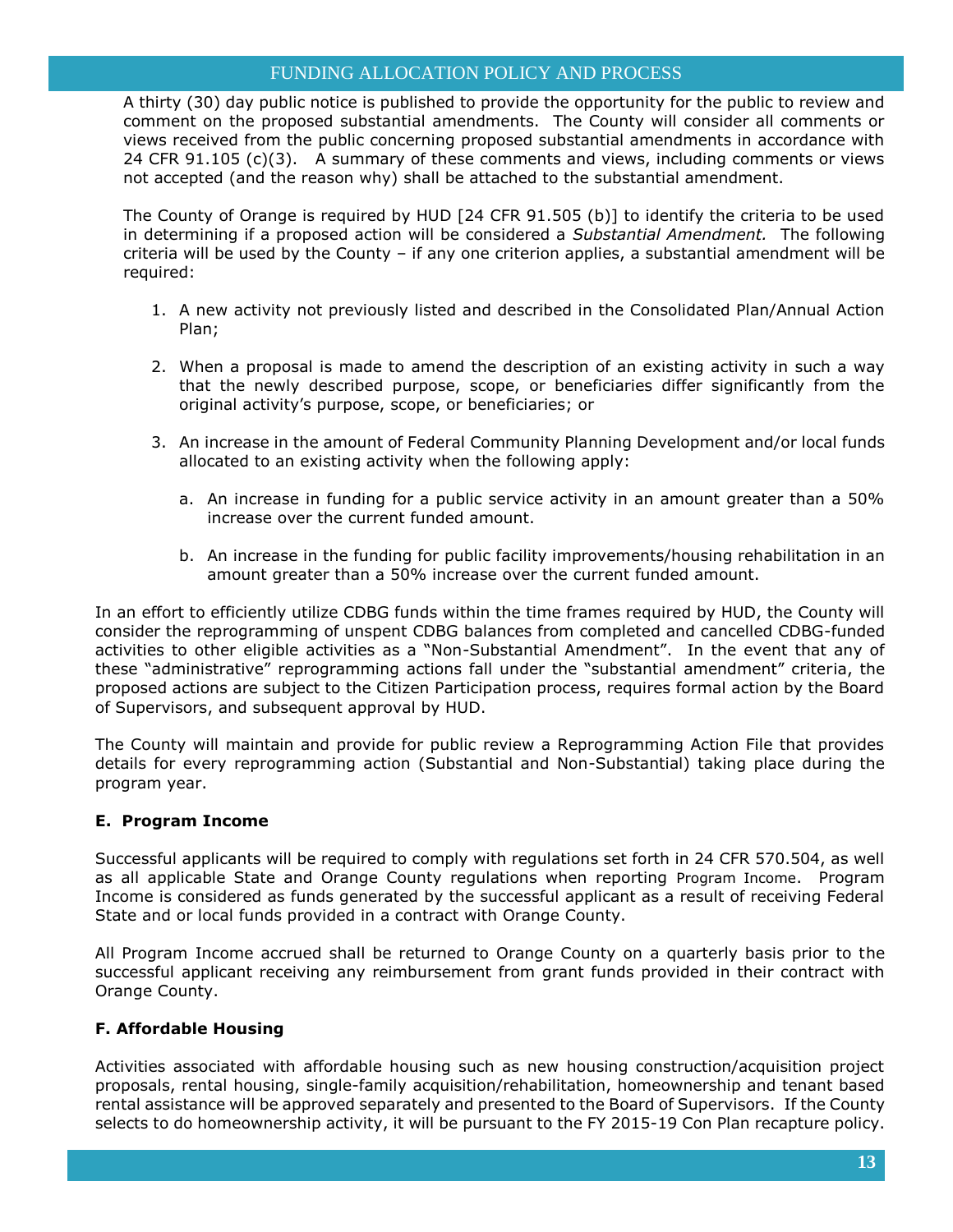## FUNDING ALLOCATION POLICY AND PROCESS

A thirty (30) day public notice is published to provide the opportunity for the public to review and comment on the proposed substantial amendments. The County will consider all comments or views received from the public concerning proposed substantial amendments in accordance with 24 CFR  $91.105$  (c)(3). A summary of these comments and views, including comments or views not accepted (and the reason why) shall be attached to the substantial amendment.

The County of Orange is required by HUD [24 CFR 91.505 (b)] to identify the criteria to be used in determining if a proposed action will be considered a *Substantial Amendment.* The following criteria will be used by the County – if any one criterion applies, a substantial amendment will be required:

- 1. A new activity not previously listed and described in the Consolidated Plan/Annual Action Plan;
- 2. When a proposal is made to amend the description of an existing activity in such a way that the newly described purpose, scope, or beneficiaries differ significantly from the original activity's purpose, scope, or beneficiaries; or
- 3. An increase in the amount of Federal Community Planning Development and/or local funds allocated to an existing activity when the following apply:
	- a. An increase in funding for a public service activity in an amount greater than a 50% increase over the current funded amount.
	- b. An increase in the funding for public facility improvements/housing rehabilitation in an amount greater than a 50% increase over the current funded amount.

In an effort to efficiently utilize CDBG funds within the time frames required by HUD, the County will consider the reprogramming of unspent CDBG balances from completed and cancelled CDBG-funded activities to other eligible activities as a "Non-Substantial Amendment". In the event that any of these "administrative" reprogramming actions fall under the "substantial amendment" criteria, the proposed actions are subject to the Citizen Participation process, requires formal action by the Board of Supervisors, and subsequent approval by HUD.

The County will maintain and provide for public review a Reprogramming Action File that provides details for every reprogramming action (Substantial and Non-Substantial) taking place during the program year.

## **E. Program Income**

Successful applicants will be required to comply with regulations set forth in 24 CFR 570.504, as well as all applicable State and Orange County regulations when reporting Program Income. Program Income is considered as funds generated by the successful applicant as a result of receiving Federal State and or local funds provided in a contract with Orange County.

All Program Income accrued shall be returned to Orange County on a quarterly basis prior to the successful applicant receiving any reimbursement from grant funds provided in their contract with Orange County.

## **F. Affordable Housing**

Activities associated with affordable housing such as new housing construction/acquisition project proposals, rental housing, single-family acquisition/rehabilitation, homeownership and tenant based rental assistance will be approved separately and presented to the Board of Supervisors. If the County selects to do homeownership activity, it will be pursuant to the FY 2015-19 Con Plan recapture policy.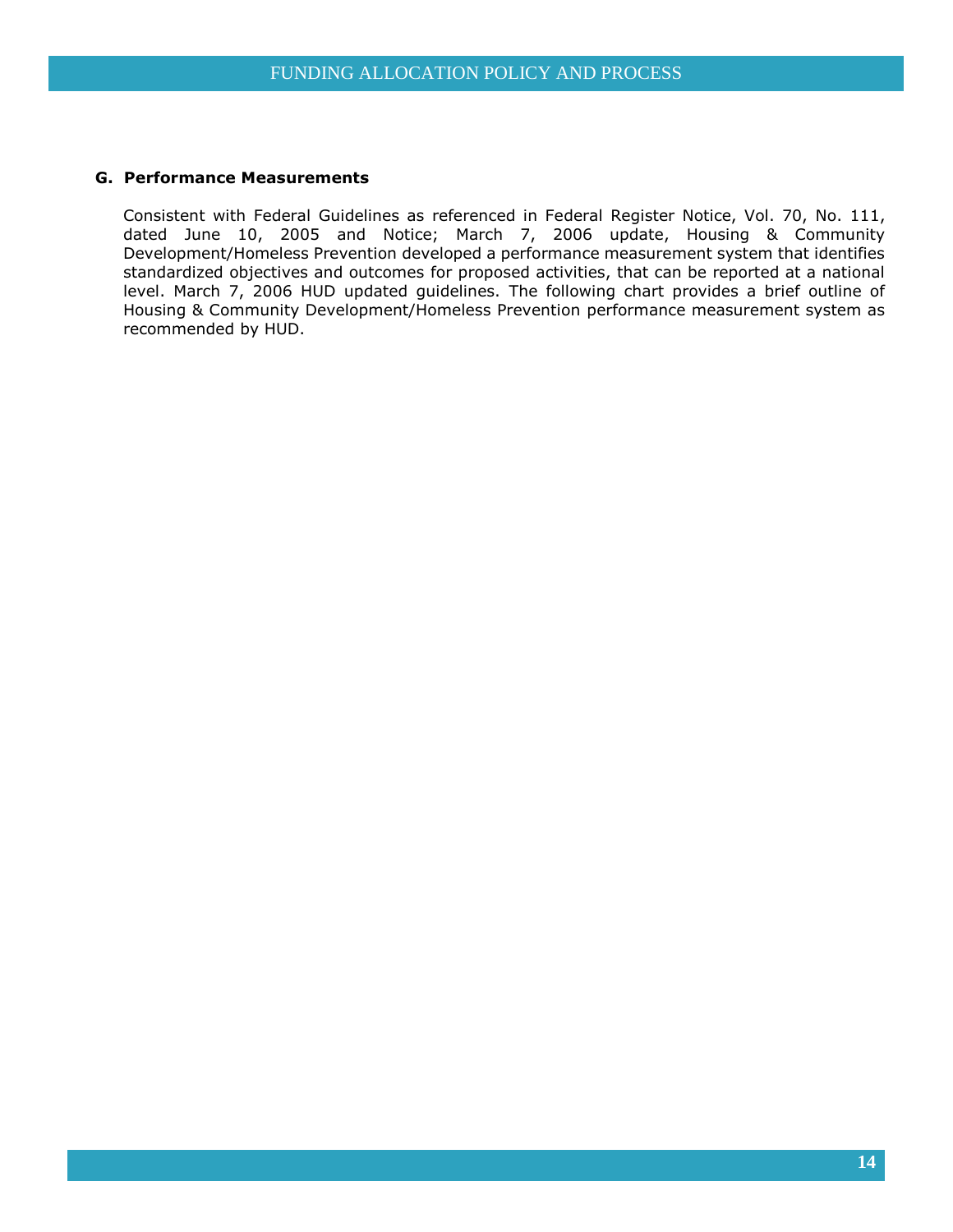#### **G. Performance Measurements**

Consistent with Federal Guidelines as referenced in Federal Register Notice, Vol. 70, No. 111, dated June 10, 2005 and Notice; March 7, 2006 update, Housing & Community Development/Homeless Prevention developed a performance measurement system that identifies standardized objectives and outcomes for proposed activities, that can be reported at a national level. March 7, 2006 HUD updated guidelines. The following chart provides a brief outline of Housing & Community Development/Homeless Prevention performance measurement system as recommended by HUD.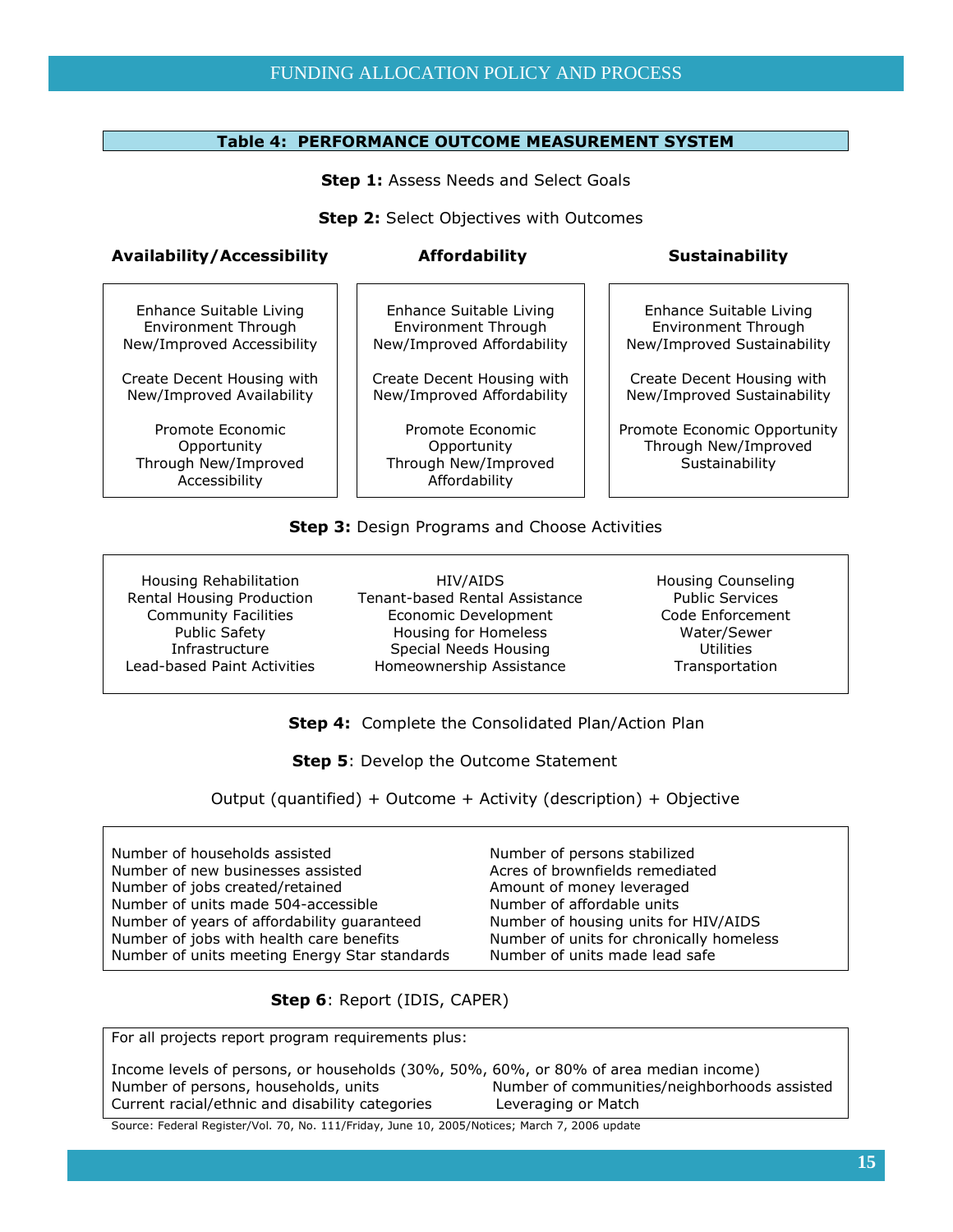#### **Table 4: PERFORMANCE OUTCOME MEASUREMENT SYSTEM**

**Step 1: Assess Needs and Select Goals** 

**Step 2:** Select Objectives with Outcomes

#### Availability/Accessibility **Affordability Affordability** Sustainability

Enhance Suitable Living Environment Through New/Improved Accessibility

Create Decent Housing with New/Improved Availability

Promote Economic **Opportunity** Through New/Improved Accessibility

Enhance Suitable Living Environment Through New/Improved Affordability

Create Decent Housing with New/Improved Affordability

Promote Economic **Opportunity** Through New/Improved Affordability

Enhance Suitable Living Environment Through New/Improved Sustainability

Create Decent Housing with New/Improved Sustainability

Promote Economic Opportunity Through New/Improved Sustainability

#### **Step 3: Design Programs and Choose Activities**

Housing Rehabilitation Rental Housing Production Community Facilities Public Safety Infrastructure Lead-based Paint Activities

HIV/AIDS Tenant-based Rental Assistance Economic Development Housing for Homeless Special Needs Housing Homeownership Assistance

Housing Counseling Public Services Code Enforcement Water/Sewer **Utilities** Transportation

 **Step 4:** Complete the Consolidated Plan/Action Plan

**Step 5: Develop the Outcome Statement** 

Output (quantified) + Outcome + Activity (description) + Objective

Number of households assisted Number of new businesses assisted Number of jobs created/retained Number of units made 504-accessible Number of years of affordability guaranteed Number of jobs with health care benefits Number of units meeting Energy Star standards Number of persons stabilized Acres of brownfields remediated Amount of money leveraged Number of affordable units Number of housing units for HIV/AIDS Number of units for chronically homeless Number of units made lead safe

 **Step 6**: Report (IDIS, CAPER)

For all projects report program requirements plus:

| Income levels of persons, or households (30%, 50%, 60%, or 80% of area median income) |                                              |
|---------------------------------------------------------------------------------------|----------------------------------------------|
| Number of persons, households, units                                                  | Number of communities/neighborhoods assisted |
| Current racial/ethnic and disability categories                                       | Leveraging or Match                          |
| $\sim$                                                                                |                                              |

Source: Federal Register/Vol. 70, No. 111/Friday, June 10, 2005/Notices; March 7, 2006 update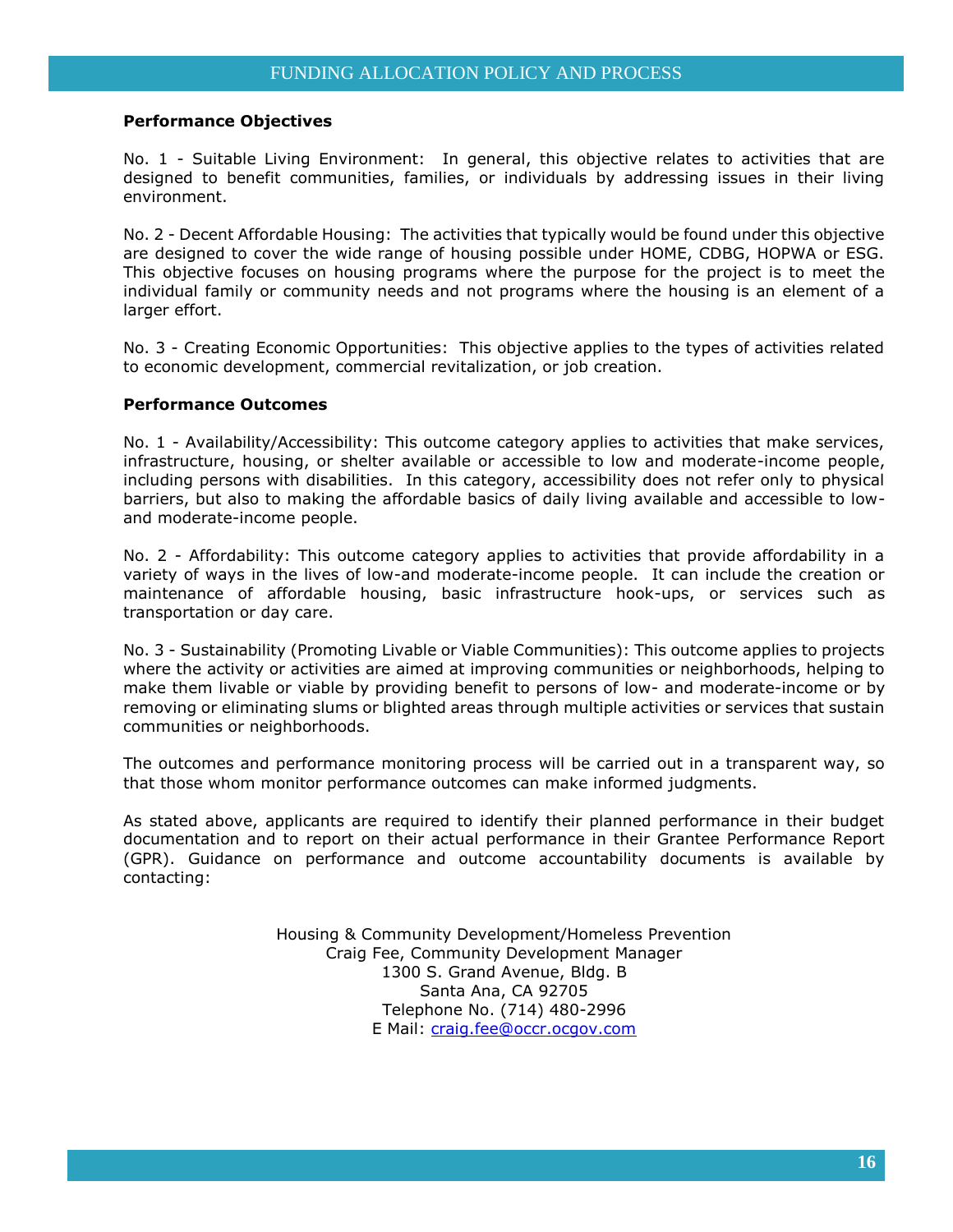#### **Performance Objectives**

No. 1 - Suitable Living Environment: In general, this objective relates to activities that are designed to benefit communities, families, or individuals by addressing issues in their living environment.

No. 2 - Decent Affordable Housing: The activities that typically would be found under this objective are designed to cover the wide range of housing possible under HOME, CDBG, HOPWA or ESG. This objective focuses on housing programs where the purpose for the project is to meet the individual family or community needs and not programs where the housing is an element of a larger effort.

No. 3 - Creating Economic Opportunities: This objective applies to the types of activities related to economic development, commercial revitalization, or job creation.

#### **Performance Outcomes**

No. 1 - Availability/Accessibility: This outcome category applies to activities that make services, infrastructure, housing, or shelter available or accessible to low and moderate-income people, including persons with disabilities. In this category, accessibility does not refer only to physical barriers, but also to making the affordable basics of daily living available and accessible to lowand moderate-income people.

No. 2 - Affordability: This outcome category applies to activities that provide affordability in a variety of ways in the lives of low-and moderate-income people. It can include the creation or maintenance of affordable housing, basic infrastructure hook-ups, or services such as transportation or day care.

No. 3 - Sustainability (Promoting Livable or Viable Communities): This outcome applies to projects where the activity or activities are aimed at improving communities or neighborhoods, helping to make them livable or viable by providing benefit to persons of low- and moderate-income or by removing or eliminating slums or blighted areas through multiple activities or services that sustain communities or neighborhoods.

The outcomes and performance monitoring process will be carried out in a transparent way, so that those whom monitor performance outcomes can make informed judgments.

As stated above, applicants are required to identify their planned performance in their budget documentation and to report on their actual performance in their Grantee Performance Report (GPR). Guidance on performance and outcome accountability documents is available by contacting:

> Housing & Community Development/Homeless Prevention Craig Fee, Community Development Manager 1300 S. Grand Avenue, Bldg. B Santa Ana, CA 92705 Telephone No. (714) 480-2996 E Mail: [craig.fee@occr.ocgov.com](mailto:craig.fee@occr.ocgov.com)